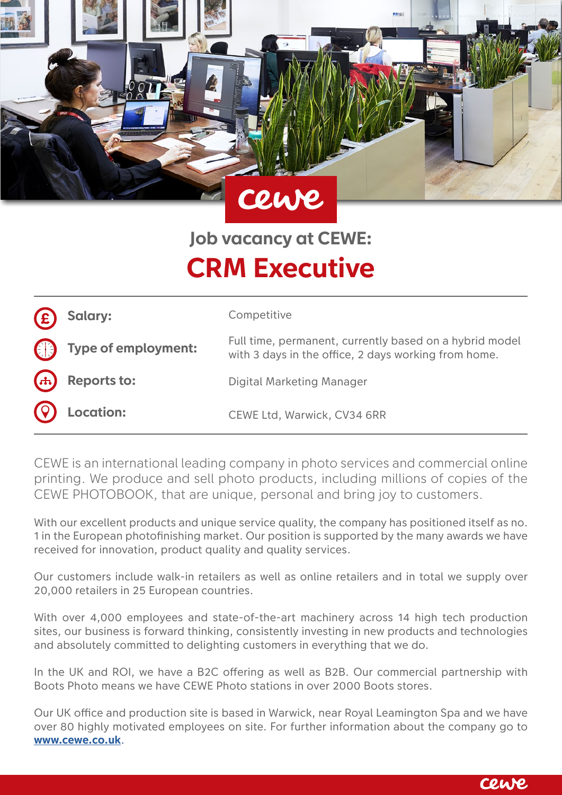

# **Job vacancy at CEWE: CRM Executive**

| $\mathbf{E}$ | Salary:                         | Competitive                                                                                                     |
|--------------|---------------------------------|-----------------------------------------------------------------------------------------------------------------|
|              | $\bigoplus$ Type of employment: | Full time, permanent, currently based on a hybrid model<br>with 3 days in the office, 2 days working from home. |
|              | $(A)$ Reports to:               | Digital Marketing Manager                                                                                       |
|              | <b>Q</b> Location:              | CEWE Ltd, Warwick, CV34 6RR                                                                                     |

CEWE is an international leading company in photo services and commercial online printing. We produce and sell photo products, including millions of copies of the CEWE PHOTOBOOK, that are unique, personal and bring joy to customers.

With our excellent products and unique service quality, the company has positioned itself as no. 1 in the European photofinishing market. Our position is supported by the many awards we have received for innovation, product quality and quality services.

Our customers include walk-in retailers as well as online retailers and in total we supply over 20,000 retailers in 25 European countries.

With over 4,000 employees and state-of-the-art machinery across 14 high tech production sites, our business is forward thinking, consistently investing in new products and technologies and absolutely committed to delighting customers in everything that we do.

In the UK and ROI, we have a B2C offering as well as B2B. Our commercial partnership with Boots Photo means we have CEWE Photo stations in over 2000 Boots stores.

Our UK office and production site is based in Warwick, near Royal Leamington Spa and we have over 80 highly motivated employees on site. For further information about the company go to **[www.cewe.co.uk](http://www.cewe.co.uk)**.

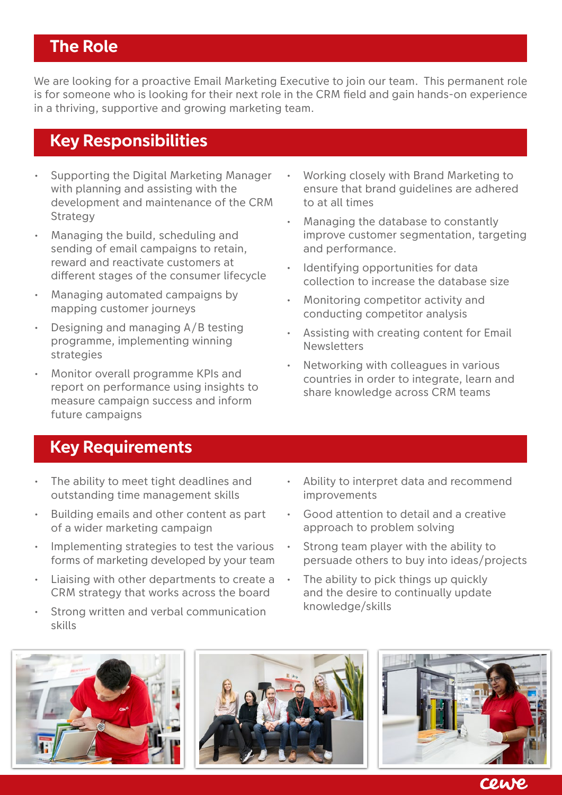## **The Role**

We are looking for a proactive Email Marketing Executive to join our team. This permanent role is for someone who is looking for their next role in the CRM field and gain hands-on experience in a thriving, supportive and growing marketing team.

### **Key Responsibilities**

- Supporting the Digital Marketing Manager with planning and assisting with the development and maintenance of the CRM **Strategy**
- Managing the build, scheduling and sending of email campaigns to retain, reward and reactivate customers at different stages of the consumer lifecycle
- Managing automated campaigns by mapping customer journeys
- Designing and managing A/B testing programme, implementing winning strategies
- Monitor overall programme KPIs and report on performance using insights to measure campaign success and inform future campaigns
- Working closely with Brand Marketing to ensure that brand guidelines are adhered to at all times
- Managing the database to constantly improve customer segmentation, targeting and performance.
- Identifying opportunities for data collection to increase the database size
- Monitoring competitor activity and conducting competitor analysis
- Assisting with creating content for Email Newsletters
- Networking with colleagues in various countries in order to integrate, learn and share knowledge across CRM teams

### **Key Requirements**

- The ability to meet tight deadlines and outstanding time management skills
- Building emails and other content as part of a wider marketing campaign
- Implementing strategies to test the various forms of marketing developed by your team
- Liaising with other departments to create a CRM strategy that works across the board
- Strong written and verbal communication skills
- Ability to interpret data and recommend improvements
- Good attention to detail and a creative approach to problem solving
- Strong team player with the ability to persuade others to buy into ideas/projects
- The ability to pick things up quickly and the desire to continually update knowledge/skills